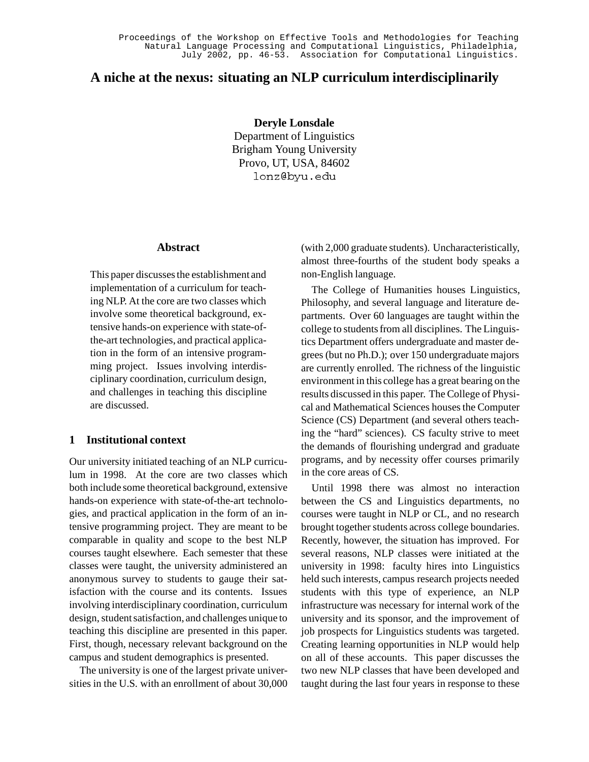# **A niche at the nexus: situating an NLP curriculum interdisciplinarily**

**Deryle Lonsdale** Department of Linguistics Brigham Young University Provo, UT, USA, 84602 lonz@byu.edu

#### **Abstract**

This paper discusses the establishment and implementation of a curriculum for teaching NLP. At the core are two classes which involve some theoretical background, extensive hands-on experience with state-ofthe-art technologies, and practical application in the form of an intensive programming project. Issues involving interdisciplinary coordination, curriculum design, and challenges in teaching this discipline are discussed.

# **1 Institutional context**

Our university initiated teaching of an NLP curriculum in 1998. At the core are two classes which both include some theoretical background, extensive hands-on experience with state-of-the-art technologies, and practical application in the form of an intensive programming project. They are meant to be comparable in quality and scope to the best NLP courses taught elsewhere. Each semester that these classes were taught, the university administered an anonymous survey to students to gauge their satisfaction with the course and its contents. Issues involving interdisciplinary coordination, curriculum design, student satisfaction, and challenges unique to teaching this discipline are presented in this paper. First, though, necessary relevant background on the campus and student demographics is presented.

The university is one of the largest private universities in the U.S. with an enrollment of about 30,000

(with 2,000 graduate students). Uncharacteristically, almost three-fourths of the student body speaks a non-English language.

The College of Humanities houses Linguistics, Philosophy, and several language and literature departments. Over 60 languages are taught within the college to students from all disciplines. The Linguistics Department offers undergraduate and master degrees (but no Ph.D.); over 150 undergraduate majors are currently enrolled. The richness of the linguistic environment in this college has a great bearing on the results discussed in this paper. The College of Physical and Mathematical Sciences houses the Computer Science (CS) Department (and several others teaching the "hard" sciences). CS faculty strive to meet the demands of flourishing undergrad and graduate programs, and by necessity offer courses primarily in the core areas of CS.

Until 1998 there was almost no interaction between the CS and Linguistics departments, no courses were taught in NLP or CL, and no research brought together students across college boundaries. Recently, however, the situation has improved. For several reasons, NLP classes were initiated at the university in 1998: faculty hires into Linguistics held such interests, campus research projects needed students with this type of experience, an NLP infrastructure was necessary for internal work of the university and its sponsor, and the improvement of job prospects for Linguistics students was targeted. Creating learning opportunities in NLP would help on all of these accounts. This paper discusses the two new NLP classes that have been developed and taught during the last four years in response to these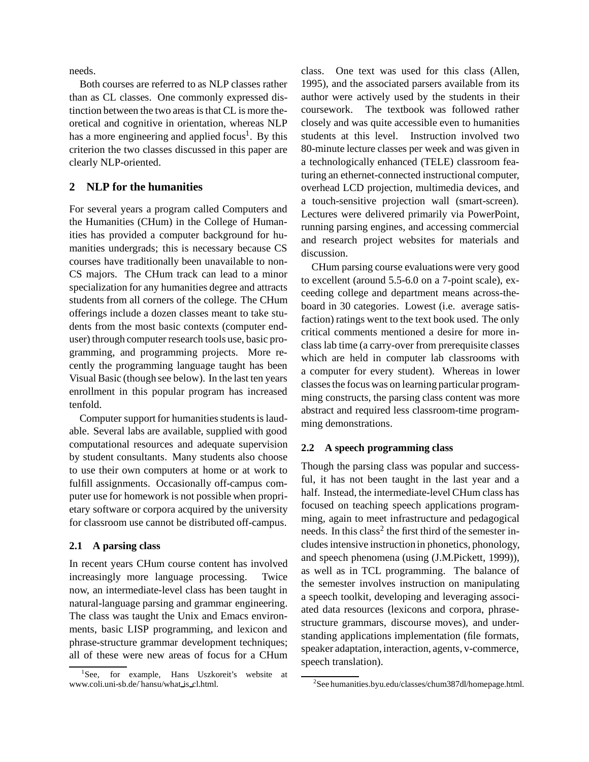needs.

Both courses are referred to as NLP classes rather than as CL classes. One commonly expressed distinction between the two areas is that CL is more theoretical and cognitive in orientation, whereas NLP has a more engineering and applied focus<sup>1</sup>. By this criterion the two classes discussed in this paper are clearly NLP-oriented.

# **2 NLP for the humanities**

For several years a program called Computers and the Humanities (CHum) in the College of Humanities has provided a computer background for humanities undergrads; this is necessary because CS courses have traditionally been unavailable to non-CS majors. The CHum track can lead to a minor specialization for any humanities degree and attracts students from all corners of the college. The CHum offerings include a dozen classes meant to take students from the most basic contexts (computer enduser) through computer research tools use, basic programming, and programming projects. More recently the programming language taught has been Visual Basic (though see below). In the last ten years enrollment in this popular program has increased tenfold.

Computer support for humanities students is laudable. Several labs are available, supplied with good computational resources and adequate supervision by student consultants. Many students also choose to use their own computers at home or at work to fulfill assignments. Occasionally off-campus computer use for homework is not possible when proprietary software or corpora acquired by the university for classroom use cannot be distributed off-campus.

### **2.1 A parsing class**

In recent years CHum course content has involved increasingly more language processing. Twice now, an intermediate-level class has been taught in natural-language parsing and grammar engineering. The class was taught the Unix and Emacs environments, basic LISP programming, and lexicon and phrase-structure grammar development techniques; all of these were new areas of focus for a CHum

class. One text was used for this class (Allen, 1995), and the associated parsers available from its author were actively used by the students in their coursework. The textbook was followed rather closely and was quite accessible even to humanities students at this level. Instruction involved two 80-minute lecture classes per week and was given in a technologically enhanced (TELE) classroom featuring an ethernet-connected instructional computer, overhead LCD projection, multimedia devices, and a touch-sensitive projection wall (smart-screen). Lectures were delivered primarily via PowerPoint, running parsing engines, and accessing commercial and research project websites for materials and discussion.

CHum parsing course evaluations were very good to excellent (around 5.5-6.0 on a 7-point scale), exceeding college and department means across-theboard in 30 categories. Lowest (i.e. average satisfaction) ratings went to the text book used. The only critical comments mentioned a desire for more inclass lab time (a carry-over from prerequisite classes which are held in computer lab classrooms with a computer for every student). Whereas in lower classes the focus was on learning particular programming constructs, the parsing class content was more abstract and required less classroom-time programming demonstrations.

# **2.2 A speech programming class**

Though the parsing class was popular and successful, it has not been taught in the last year and a half. Instead, the intermediate-level CHum class has focused on teaching speech applications programming, again to meet infrastructure and pedagogical needs. In this class<sup>2</sup> the first third of the semester includes intensive instruction in phonetics, phonology, and speech phenomena (using (J.M.Pickett, 1999)), as well as in TCL programming. The balance of the semester involves instruction on manipulating a speech toolkit, developing and leveraging associated data resources (lexicons and corpora, phrasestructure grammars, discourse moves), and understanding applications implementation (file formats, speaker adaptation, interaction, agents, v-commerce, speech translation).

 ${}^{1}$ See. for example, Hans Uszkoreit's website at www.coli.uni-sb.de/~hansu/what is cl.html.

<sup>2</sup> See humanities.byu.edu/classes/chum387dl/homepage.html.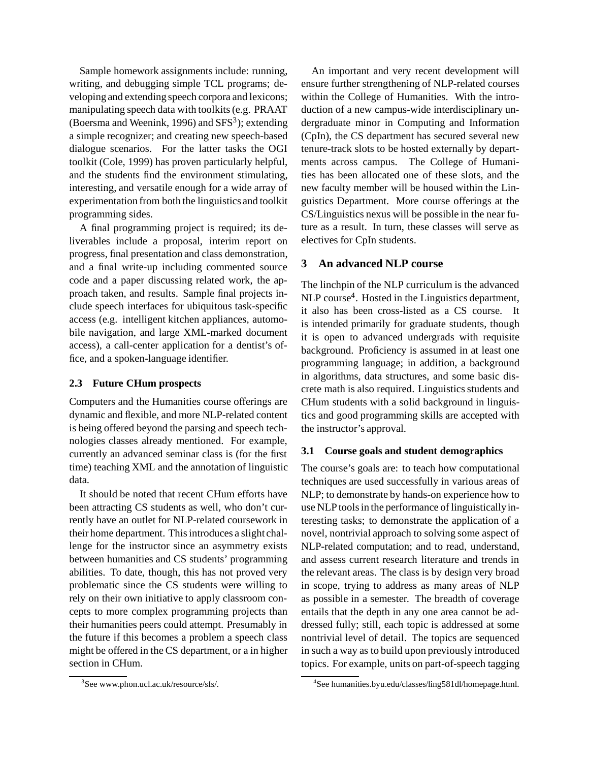Sample homework assignments include: running, writing, and debugging simple TCL programs; developing and extending speech corpora and lexicons; manipulating speech data with toolkits (e.g. PRAAT (Boersma and Weenink, 1996) and  $SFS<sup>3</sup>$ ); extending a simple recognizer; and creating new speech-based dialogue scenarios. For the latter tasks the OGI toolkit (Cole, 1999) has proven particularly helpful, and the students find the environment stimulating, interesting, and versatile enough for a wide array of experimentation from both the linguistics and toolkit programming sides.

A final programming project is required; its deliverables include a proposal, interim report on progress, final presentation and class demonstration, and a final write-up including commented source code and a paper discussing related work, the approach taken, and results. Sample final projects include speech interfaces for ubiquitous task-specific access (e.g. intelligent kitchen appliances, automobile navigation, and large XML-marked document access), a call-center application for a dentist's office, and a spoken-language identifier.

# **2.3 Future CHum prospects**

Computers and the Humanities course offerings are dynamic and flexible, and more NLP-related content is being offered beyond the parsing and speech technologies classes already mentioned. For example, currently an advanced seminar class is (for the first time) teaching XML and the annotation of linguistic data.

It should be noted that recent CHum efforts have been attracting CS students as well, who don't currently have an outlet for NLP-related coursework in their home department. This introduces a slight challenge for the instructor since an asymmetry exists between humanities and CS students' programming abilities. To date, though, this has not proved very problematic since the CS students were willing to rely on their own initiative to apply classroom concepts to more complex programming projects than their humanities peers could attempt. Presumably in the future if this becomes a problem a speech class might be offered in the CS department, or a in higher section in CHum.

An important and very recent development will ensure further strengthening of NLP-related courses within the College of Humanities. With the introduction of a new campus-wide interdisciplinary undergraduate minor in Computing and Information (CpIn), the CS department has secured several new tenure-track slots to be hosted externally by departments across campus. The College of Humanities has been allocated one of these slots, and the new faculty member will be housed within the Linguistics Department. More course offerings at the CS/Linguistics nexus will be possible in the near future as a result. In turn, these classes will serve as electives for CpIn students.

# **3 An advanced NLP course**

The linchpin of the NLP curriculum is the advanced NLP course<sup>4</sup>. Hosted in the Linguistics department, it also has been cross-listed as a CS course. It is intended primarily for graduate students, though it is open to advanced undergrads with requisite background. Proficiency is assumed in at least one programming language; in addition, a background in algorithms, data structures, and some basic discrete math is also required. Linguistics students and CHum students with a solid background in linguistics and good programming skills are accepted with the instructor's approval.

# **3.1 Course goals and student demographics**

The course's goals are: to teach how computational techniques are used successfully in various areas of NLP; to demonstrate by hands-on experience how to use NLP tools in the performance of linguisticallyinteresting tasks; to demonstrate the application of a novel, nontrivial approach to solving some aspect of NLP-related computation; and to read, understand, and assess current research literature and trends in the relevant areas. The class is by design very broad in scope, trying to address as many areas of NLP as possible in a semester. The breadth of coverage entails that the depth in any one area cannot be addressed fully; still, each topic is addressed at some nontrivial level of detail. The topics are sequenced in such a way as to build upon previously introduced topics. For example, units on part-of-speech tagging

<sup>3</sup> See www.phon.ucl.ac.uk/resource/sfs/.

<sup>4</sup> See humanities.byu.edu/classes/ling581dl/homepage.html.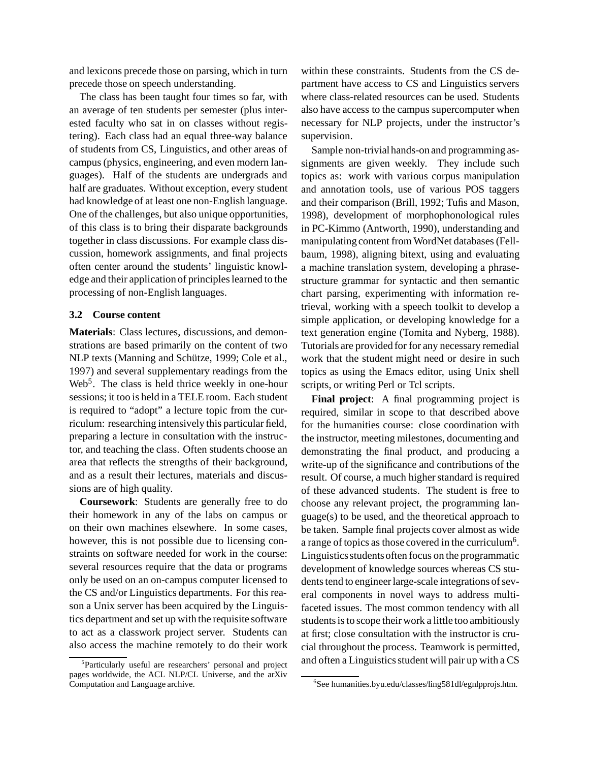and lexicons precede those on parsing, which in turn precede those on speech understanding.

The class has been taught four times so far, with an average of ten students per semester (plus interested faculty who sat in on classes without registering). Each class had an equal three-way balance of students from CS, Linguistics, and other areas of campus (physics, engineering, and even modern languages). Half of the students are undergrads and half are graduates. Without exception, every student had knowledge of at least one non-English language. One of the challenges, but also unique opportunities, of this class is to bring their disparate backgrounds together in class discussions. For example class discussion, homework assignments, and final projects often center around the students' linguistic knowledge and their application of principles learned to the processing of non-English languages.

### **3.2 Course content**

**Materials**: Class lectures, discussions, and demonstrations are based primarily on the content of two NLP texts (Manning and Schütze, 1999; Cole et al., 1997) and several supplementary readings from the Web<sup>5</sup>. The class is held thrice weekly in one-hour sessions; it too is held in a TELE room. Each student is required to "adopt" a lecture topic from the curriculum: researching intensively this particular field, preparing a lecture in consultation with the instructor, and teaching the class. Often students choose an area that reflects the strengths of their background, and as a result their lectures, materials and discussions are of high quality.

**Coursework**: Students are generally free to do their homework in any of the labs on campus or on their own machines elsewhere. In some cases, however, this is not possible due to licensing constraints on software needed for work in the course: several resources require that the data or programs only be used on an on-campus computer licensed to the CS and/or Linguistics departments. For this reason a Unix server has been acquired by the Linguistics department and set up with the requisite software to act as a classwork project server. Students can also access the machine remotely to do their work

5 Particularly useful are researchers' personal and project pages worldwide, the ACL NLP/CL Universe, and the arXiv Computation and Language archive.

within these constraints. Students from the CS department have access to CS and Linguistics servers where class-related resources can be used. Students also have access to the campus supercomputer when necessary for NLP projects, under the instructor's supervision.

Sample non-trivialhands-on and programming assignments are given weekly. They include such topics as: work with various corpus manipulation and annotation tools, use of various POS taggers and their comparison (Brill, 1992; Tufis and Mason, 1998), development of morphophonological rules in PC-Kimmo (Antworth, 1990), understanding and manipulating content from WordNet databases (Fellbaum, 1998), aligning bitext, using and evaluating a machine translation system, developing a phrasestructure grammar for syntactic and then semantic chart parsing, experimenting with information retrieval, working with a speech toolkit to develop a simple application, or developing knowledge for a text generation engine (Tomita and Nyberg, 1988). Tutorials are provided for for any necessary remedial work that the student might need or desire in such topics as using the Emacs editor, using Unix shell scripts, or writing Perl or Tcl scripts.

**Final project**: A final programming project is required, similar in scope to that described above for the humanities course: close coordination with the instructor, meeting milestones, documenting and demonstrating the final product, and producing a write-up of the significance and contributions of the result. Of course, a much higher standard is required of these advanced students. The student is free to choose any relevant project, the programming language(s) to be used, and the theoretical approach to be taken. Sample final projects cover almost as wide a range of topics as those covered in the curriculum6. Linguisticsstudentsoften focus on the programmatic development of knowledge sources whereas CS students tend to engineer large-scale integrations of several components in novel ways to address multifaceted issues. The most common tendency with all students is to scope their work a little too ambitiously at first; close consultation with the instructor is crucial throughout the process. Teamwork is permitted, and often a Linguistics student will pair up with a CS

<sup>6</sup> See humanities.byu.edu/classes/ling581dl/egnlpprojs.htm.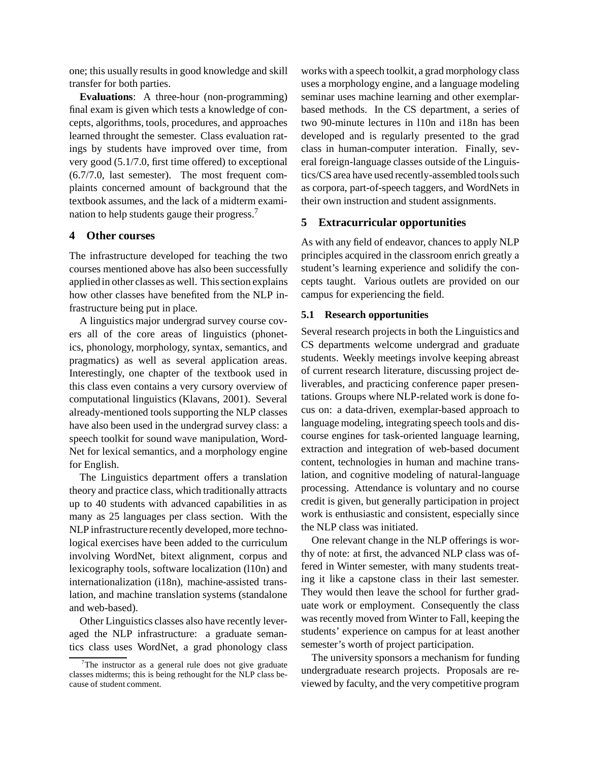one; this usually results in good knowledge and skill transfer for both parties.

**Evaluations**: A three-hour (non-programming) final exam is given which tests a knowledge of concepts, algorithms, tools, procedures, and approaches learned throught the semester. Class evaluation ratings by students have improved over time, from very good (5.1/7.0, first time offered) to exceptional (6.7/7.0, last semester). The most frequent complaints concerned amount of background that the textbook assumes, and the lack of a midterm examination to help students gauge their progress.7

#### **4 Other courses**

The infrastructure developed for teaching the two courses mentioned above has also been successfully applied in other classes as well. This section explains how other classes have benefited from the NLP infrastructure being put in place.

A linguistics major undergrad survey course covers all of the core areas of linguistics (phonetics, phonology, morphology, syntax, semantics, and pragmatics) as well as several application areas. Interestingly, one chapter of the textbook used in this class even contains a very cursory overview of computational linguistics (Klavans, 2001). Several already-mentioned tools supporting the NLP classes have also been used in the undergrad survey class: a speech toolkit for sound wave manipulation, Word-Net for lexical semantics, and a morphology engine for English.

The Linguistics department offers a translation theory and practice class, which traditionally attracts up to 40 students with advanced capabilities in as many as 25 languages per class section. With the NLP infrastructure recently developed, more technological exercises have been added to the curriculum involving WordNet, bitext alignment, corpus and lexicography tools, software localization (l10n) and internationalization (i18n), machine-assisted translation, and machine translation systems (standalone and web-based).

Other Linguistics classes also have recently leveraged the NLP infrastructure: a graduate semantics class uses WordNet, a grad phonology class works with a speech toolkit, a grad morphology class uses a morphology engine, and a language modeling seminar uses machine learning and other exemplarbased methods. In the CS department, a series of two 90-minute lectures in l10n and i18n has been developed and is regularly presented to the grad class in human-computer interation. Finally, several foreign-language classes outside of the Linguistics/CS area have used recently-assembled tools such as corpora, part-of-speech taggers, and WordNets in their own instruction and student assignments.

#### **5 Extracurricular opportunities**

As with any field of endeavor, chances to apply NLP principles acquired in the classroom enrich greatly a student's learning experience and solidify the concepts taught. Various outlets are provided on our campus for experiencing the field.

### **5.1 Research opportunities**

Several research projects in both the Linguistics and CS departments welcome undergrad and graduate students. Weekly meetings involve keeping abreast of current research literature, discussing project deliverables, and practicing conference paper presentations. Groups where NLP-related work is done focus on: a data-driven, exemplar-based approach to language modeling, integrating speech tools and discourse engines for task-oriented language learning, extraction and integration of web-based document content, technologies in human and machine translation, and cognitive modeling of natural-language processing. Attendance is voluntary and no course credit is given, but generally participation in project work is enthusiastic and consistent, especially since the NLP class was initiated.

One relevant change in the NLP offerings is worthy of note: at first, the advanced NLP class was offered in Winter semester, with many students treating it like a capstone class in their last semester. They would then leave the school for further graduate work or employment. Consequently the class was recently moved from Winter to Fall, keeping the students' experience on campus for at least another semester's worth of project participation.

The university sponsors a mechanism for funding undergraduate research projects. Proposals are reviewed by faculty, and the very competitive program

 $7$ The instructor as a general rule does not give graduate classes midterms; this is being rethought for the NLP class because of student comment.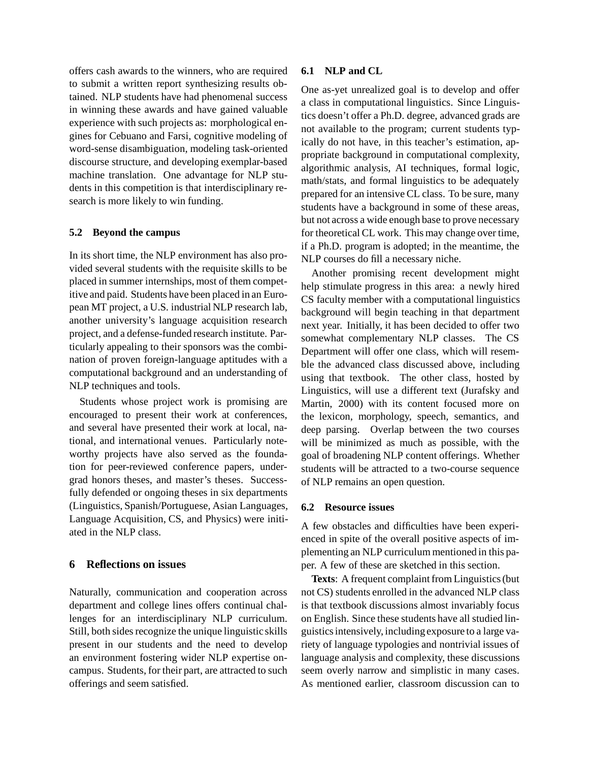offers cash awards to the winners, who are required to submit a written report synthesizing results obtained. NLP students have had phenomenal success in winning these awards and have gained valuable experience with such projects as: morphological engines for Cebuano and Farsi, cognitive modeling of word-sense disambiguation, modeling task-oriented discourse structure, and developing exemplar-based machine translation. One advantage for NLP students in this competition is that interdisciplinary research is more likely to win funding.

### **5.2 Beyond the campus**

In its short time, the NLP environment has also provided several students with the requisite skills to be placed in summer internships, most of them competitive and paid. Students have been placed in an European MT project, a U.S. industrial NLP research lab, another university's language acquisition research project, and a defense-funded research institute. Particularly appealing to their sponsors was the combination of proven foreign-language aptitudes with a computational background and an understanding of NLP techniques and tools.

Students whose project work is promising are encouraged to present their work at conferences, and several have presented their work at local, national, and international venues. Particularly noteworthy projects have also served as the foundation for peer-reviewed conference papers, undergrad honors theses, and master's theses. Successfully defended or ongoing theses in six departments (Linguistics, Spanish/Portuguese, Asian Languages, Language Acquisition, CS, and Physics) were initiated in the NLP class.

### **6 Reflections on issues**

Naturally, communication and cooperation across department and college lines offers continual challenges for an interdisciplinary NLP curriculum. Still, both sides recognize the unique linguistic skills present in our students and the need to develop an environment fostering wider NLP expertise oncampus. Students, for their part, are attracted to such offerings and seem satisfied.

### **6.1 NLP and CL**

One as-yet unrealized goal is to develop and offer a class in computational linguistics. Since Linguistics doesn't offer a Ph.D. degree, advanced grads are not available to the program; current students typically do not have, in this teacher's estimation, appropriate background in computational complexity, algorithmic analysis, AI techniques, formal logic, math/stats, and formal linguistics to be adequately prepared for an intensive CL class. To be sure, many students have a background in some of these areas, but not across a wide enough base to prove necessary for theoretical CL work. This may change over time, if a Ph.D. program is adopted; in the meantime, the NLP courses do fill a necessary niche.

Another promising recent development might help stimulate progress in this area: a newly hired CS faculty member with a computational linguistics background will begin teaching in that department next year. Initially, it has been decided to offer two somewhat complementary NLP classes. The CS Department will offer one class, which will resemble the advanced class discussed above, including using that textbook. The other class, hosted by Linguistics, will use a different text (Jurafsky and Martin, 2000) with its content focused more on the lexicon, morphology, speech, semantics, and deep parsing. Overlap between the two courses will be minimized as much as possible, with the goal of broadening NLP content offerings. Whether students will be attracted to a two-course sequence of NLP remains an open question.

#### **6.2 Resource issues**

A few obstacles and difficulties have been experienced in spite of the overall positive aspects of implementing an NLP curriculum mentioned in this paper. A few of these are sketched in this section.

**Texts**: A frequent complaint from Linguistics (but not CS) students enrolled in the advanced NLP class is that textbook discussions almost invariably focus on English. Since these students have all studied linguistics intensively, including exposure to a large variety of language typologies and nontrivial issues of language analysis and complexity, these discussions seem overly narrow and simplistic in many cases. As mentioned earlier, classroom discussion can to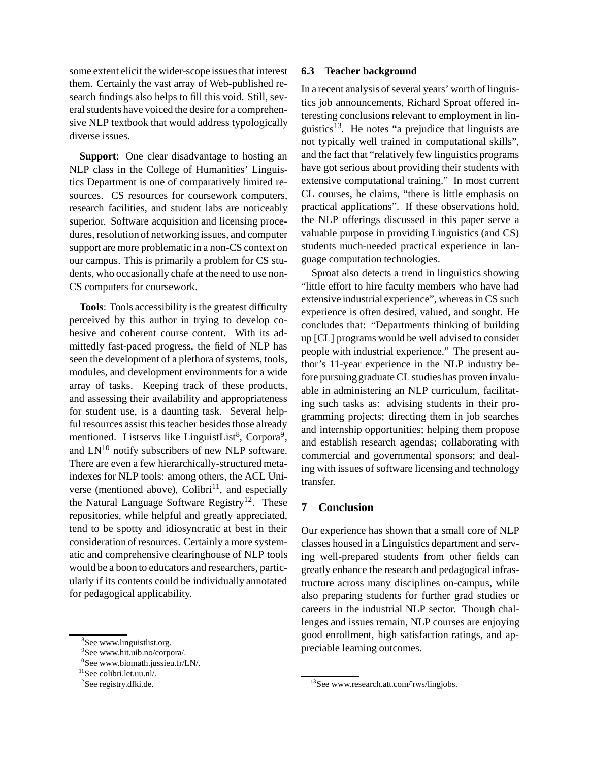some extent elicit the wider-scope issues that interest them. Certainly the vast array of Web-published research findings also helps to fill this void. Still, several students have voiced the desire for a comprehensive NLP textbook that would address typologically diverse issues.

**Support**: One clear disadvantage to hosting an NLP class in the College of Humanities' Linguistics Department is one of comparatively limited resources. CS resources for coursework computers, research facilities, and student labs are noticeably superior. Software acquisition and licensing procedures, resolution of networking issues, and computer support are more problematic in a non-CS context on our campus. This is primarily a problem for CS students, who occasionally chafe at the need to use non-CS computers for coursework.

**Tools**: Tools accessibility is the greatest difficulty perceived by this author in trying to develop cohesive and coherent course content. With its admittedly fast-paced progress, the field of NLP has seen the development of a plethora of systems, tools, modules, and development environments for a wide array of tasks. Keeping track of these products, and assessing their availability and appropriateness for student use, is a daunting task. Several helpful resources assist this teacher besides those already mentioned. Listservs like LinguistList<sup>8</sup>, Corpora<sup>9</sup>, and  $LN^{10}$  notify subscribers of new NLP software. There are even a few hierarchically-structured metaindexes for NLP tools: among others, the ACL Universe (mentioned above), Colibri<sup>11</sup>, and especially the Natural Language Software Registry<sup>12</sup>. These repositories, while helpful and greatly appreciated, tend to be spotty and idiosyncratic at best in their consideration of resources. Certainly a more systematic and comprehensive clearinghouse of NLP tools would be a boon to educators and researchers, particularly if its contents could be individually annotated for pedagogical applicability.

#### **6.3 Teacher background**

In a recent analysis of several years' worth of linguistics job announcements, Richard Sproat offered interesting conclusions relevant to employment in linguistics<sup>13</sup>. He notes "a prejudice that linguists are not typically well trained in computational skills", and the fact that "relatively few linguistics programs have got serious about providing their students with extensive computational training." In most current CL courses, he claims, "there is little emphasis on practical applications". If these observations hold, the NLP offerings discussed in this paper serve a valuable purpose in providing Linguistics (and CS) students much-needed practical experience in language computation technologies.

Sproat also detects a trend in linguistics showing "little effort to hire faculty members who have had extensive industrial experience", whereas in CS such experience is often desired, valued, and sought. He concludes that: "Departments thinking of building up [CL] programs would be well advised to consider people with industrial experience." The present author's 11-year experience in the NLP industry before pursuing graduate CL studies has proven invaluable in administering an NLP curriculum, facilitating such tasks as: advising students in their programming projects; directing them in job searches and internship opportunities; helping them propose and establish research agendas; collaborating with commercial and governmental sponsors; and dealing with issues of software licensing and technology transfer.

## **7 Conclusion**

Our experience has shown that a small core of NLP classes housed in a Linguistics department and serving well-prepared students from other fields can greatly enhance the research and pedagogical infrastructure across many disciplines on-campus, while also preparing students for further grad studies or careers in the industrial NLP sector. Though challenges and issues remain, NLP courses are enjoying good enrollment, high satisfaction ratings, and appreciable learning outcomes.

<sup>8</sup> See www.linguistlist.org.

<sup>9</sup> See www.hit.uib.no/corpora/.

<sup>&</sup>lt;sup>10</sup>See www.biomath.jussieu.fr/LN/.

 $11$ See colibri.let.uu.nl/.

<sup>&</sup>lt;sup>12</sup>See registry.dfki.de.

 $13$ See www.research.att.com/ $\frac{r_{\text{w}}}{r_{\text{w}}}$ / $\frac{13}{r_{\text{w}}}$ See